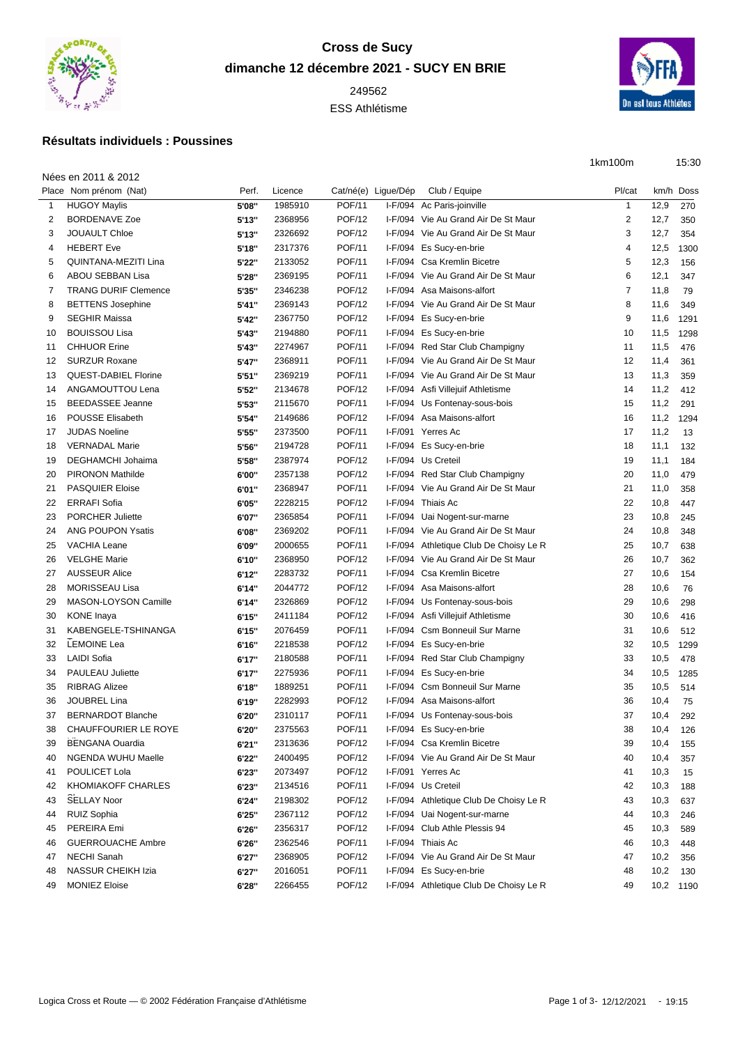

## **Cross de Sucy dimanche 12 décembre 2021 - SUCY EN BRIE**

ESS Athlétisme



1km100m 15:30

## **Résultats individuels : Poussines**

|                | Nées en 2011 & 2012         |        |         |               |                     |                                        |                |      |           |
|----------------|-----------------------------|--------|---------|---------------|---------------------|----------------------------------------|----------------|------|-----------|
|                | Place Nom prénom (Nat)      | Perf.  | Licence |               | Cat/né(e) Ligue/Dép | Club / Equipe                          | Pl/cat         |      | km/h Doss |
| 1              | <b>HUGOY Maylis</b>         | 5'08"  | 1985910 | <b>POF/11</b> | $I-F/094$           | Ac Paris-joinville                     | $\mathbf{1}$   | 12,9 | 270       |
| 2              | <b>BORDENAVE Zoe</b>        | 5'13"  | 2368956 | <b>POF/12</b> |                     | I-F/094 Vie Au Grand Air De St Maur    | 2              | 12,7 | 350       |
| 3              | <b>JOUAULT Chloe</b>        | 5'13"  | 2326692 | <b>POF/12</b> |                     | I-F/094 Vie Au Grand Air De St Maur    | 3              | 12,7 | 354       |
| $\overline{4}$ | <b>HEBERT Eve</b>           | 5'18"  | 2317376 | <b>POF/11</b> |                     | I-F/094 Es Sucy-en-brie                | 4              | 12,5 | 1300      |
| 5              | <b>QUINTANA-MEZITI Lina</b> | 5'22"  | 2133052 | <b>POF/11</b> |                     | I-F/094 Csa Kremlin Bicetre            | 5              | 12,3 | 156       |
| 6              | <b>ABOU SEBBAN Lisa</b>     | 5'28"  | 2369195 | <b>POF/11</b> |                     | I-F/094 Vie Au Grand Air De St Maur    | 6              | 12,1 | 347       |
| 7              | <b>TRANG DURIF Clemence</b> | 5'35"  | 2346238 | <b>POF/12</b> |                     | I-F/094 Asa Maisons-alfort             | $\overline{7}$ | 11,8 | 79        |
| 8              | <b>BETTENS Josephine</b>    | 5'41"  | 2369143 | <b>POF/12</b> |                     | I-F/094 Vie Au Grand Air De St Maur    | 8              | 11,6 | 349       |
| 9              | <b>SEGHIR Maissa</b>        | 5'42"  | 2367750 | <b>POF/12</b> |                     | I-F/094 Es Sucy-en-brie                | 9              | 11,6 | 1291      |
| 10             | <b>BOUISSOU Lisa</b>        | 5'43"  | 2194880 | <b>POF/11</b> |                     | I-F/094 Es Sucy-en-brie                | 10             | 11,5 | 1298      |
| 11             | <b>CHHUOR Erine</b>         | 5'43"  | 2274967 | <b>POF/11</b> |                     | I-F/094 Red Star Club Champigny        | 11             | 11,5 | 476       |
| 12             | <b>SURZUR Roxane</b>        | 5'47"  | 2368911 | <b>POF/11</b> |                     | I-F/094 Vie Au Grand Air De St Maur    | 12             | 11,4 | 361       |
| 13             | <b>QUEST-DABIEL Florine</b> | 5'51"  | 2369219 | <b>POF/11</b> |                     | I-F/094 Vie Au Grand Air De St Maur    | 13             | 11,3 | 359       |
| 14             | ANGAMOUTTOU Lena            | 5'52"  | 2134678 | <b>POF/12</b> |                     | I-F/094 Asfi Villejuif Athletisme      | 14             | 11,2 | 412       |
| 15             | <b>BEEDASSEE Jeanne</b>     | 5'53"  | 2115670 | <b>POF/11</b> |                     | I-F/094 Us Fontenay-sous-bois          | 15             | 11,2 | 291       |
| 16             | <b>POUSSE Elisabeth</b>     | 5'54"  | 2149686 | <b>POF/12</b> |                     | I-F/094 Asa Maisons-alfort             | 16             | 11,2 | 1294      |
| 17             | <b>JUDAS Noeline</b>        | 5'55"  | 2373500 | <b>POF/11</b> |                     | I-F/091 Yerres Ac                      | 17             | 11,2 | 13        |
| 18             | <b>VERNADAL Marie</b>       | 5'56"  | 2194728 | <b>POF/11</b> |                     | I-F/094 Es Sucy-en-brie                | 18             | 11,1 | 132       |
| 19             | <b>DEGHAMCHI Johaima</b>    | 5'58"  | 2387974 | <b>POF/12</b> |                     | I-F/094 Us Creteil                     | 19             | 11,1 | 184       |
| 20             | <b>PIRONON Mathilde</b>     | 6'00"  | 2357138 | <b>POF/12</b> |                     | I-F/094 Red Star Club Champigny        | 20             | 11,0 | 479       |
| 21             | <b>PASQUIER Eloise</b>      | 6'01"  | 2368947 | <b>POF/11</b> |                     | I-F/094 Vie Au Grand Air De St Maur    | 21             | 11,0 | 358       |
| 22             | <b>ERRAFI Sofia</b>         | 6'05"  | 2228215 | <b>POF/12</b> |                     | I-F/094 Thiais Ac                      | 22             | 10,8 | 447       |
| 23             | <b>PORCHER Juliette</b>     | 6'07"  | 2365854 | <b>POF/11</b> |                     | I-F/094 Uai Nogent-sur-marne           | 23             | 10,8 | 245       |
| 24             | <b>ANG POUPON Ysatis</b>    | 6'08"  | 2369202 | <b>POF/11</b> |                     | I-F/094 Vie Au Grand Air De St Maur    | 24             | 10,8 | 348       |
| 25             | <b>VACHIA Leane</b>         | 6'09"  | 2000655 | <b>POF/11</b> |                     | I-F/094 Athletique Club De Choisy Le R | 25             | 10,7 | 638       |
| 26             | <b>VELGHE Marie</b>         | 6'10"  | 2368950 | <b>POF/12</b> |                     | I-F/094 Vie Au Grand Air De St Maur    | 26             | 10,7 | 362       |
| 27             | <b>AUSSEUR Alice</b>        | 6'12"  | 2283732 | <b>POF/11</b> |                     | I-F/094 Csa Kremlin Bicetre            | 27             | 10,6 | 154       |
| 28             | <b>MORISSEAU Lisa</b>       | 6'14"  | 2044772 | <b>POF/12</b> |                     | I-F/094 Asa Maisons-alfort             | 28             | 10,6 | 76        |
| 29             | MASON-LOYSON Camille        | 6'14"  | 2326869 | <b>POF/12</b> |                     | I-F/094 Us Fontenay-sous-bois          | 29             | 10,6 | 298       |
| 30             | <b>KONE</b> Inaya           | 6'15"  | 2411184 | <b>POF/12</b> | I-F/094             | Asfi Villejuif Athletisme              | 30             | 10,6 | 416       |
| 31             | KABENGELE-TSHINANGA         | 6'15"  | 2076459 | <b>POF/11</b> | $I-F/094$           | <b>Csm Bonneuil Sur Marne</b>          | 31             | 10,6 | 512       |
| 32             | <b>LEMOINE Lea</b>          | 6'16"  | 2218538 | <b>POF/12</b> | I-F/094             | Es Sucy-en-brie                        | 32             | 10,5 | 1299      |
| 33             | <b>LAIDI Sofia</b>          | 6'17'' | 2180588 | <b>POF/11</b> |                     | I-F/094 Red Star Club Champigny        | 33             | 10,5 | 478       |
| 34             | PAULEAU Juliette            | 6'17'' | 2275936 | <b>POF/11</b> |                     | I-F/094 Es Sucy-en-brie                | 34             | 10,5 | 1285      |
| 35             | <b>RIBRAG Alizee</b>        | 6'18"  | 1889251 | <b>POF/11</b> |                     | I-F/094 Csm Bonneuil Sur Marne         | 35             | 10,5 | 514       |
| 36             | <b>JOUBREL Lina</b>         | 6'19"  | 2282993 | <b>POF/12</b> |                     | I-F/094 Asa Maisons-alfort             | 36             | 10,4 | 75        |
| 37             | <b>BERNARDOT Blanche</b>    | 6'20"  | 2310117 | <b>POF/11</b> |                     | I-F/094 Us Fontenay-sous-bois          | 37             | 10,4 | 292       |
| 38             | CHAUFFOURIER LE ROYE        | 6'20"  | 2375563 | POF/11        |                     | I-F/094 Es Sucy-en-brie                | 38             | 10,4 | 126       |
| 39             | <b>BENGANA Ouardia</b>      | 6'21"  | 2313636 | <b>POF/12</b> |                     | I-F/094 Csa Kremlin Bicetre            | 39             | 10,4 | 155       |
| 40             | NGENDA WUHU Maelle          | 6'22"  | 2400495 | <b>POF/12</b> |                     | I-F/094 Vie Au Grand Air De St Maur    | 40             | 10,4 | 357       |
| 41             | POULICET Lola               | 6'23"  | 2073497 | <b>POF/12</b> |                     | I-F/091 Yerres Ac                      | 41             | 10,3 | 15        |
| 42             | KHOMIAKOFF CHARLES          | 6'23"  | 2134516 | <b>POF/11</b> |                     | I-F/094 Us Creteil                     | 42             | 10,3 | 188       |
| 43             | <b>SELLAY Noor</b>          | 6'24"  | 2198302 | <b>POF/12</b> |                     | I-F/094 Athletique Club De Choisy Le R | 43             | 10,3 | 637       |
| 44             | <b>RUIZ Sophia</b>          | 6'25"  | 2367112 | <b>POF/12</b> |                     | I-F/094 Uai Nogent-sur-marne           | 44             | 10,3 | 246       |
| 45             | PEREIRA Emi                 | 6'26"  | 2356317 | <b>POF/12</b> |                     | I-F/094 Club Athle Plessis 94          | 45             | 10,3 | 589       |
| 46             | <b>GUERROUACHE Ambre</b>    | 6'26"  | 2362546 | <b>POF/11</b> |                     | I-F/094 Thiais Ac                      | 46             | 10,3 | 448       |
| 47             | <b>NECHI Sanah</b>          | 6'27"  | 2368905 | <b>POF/12</b> |                     | I-F/094 Vie Au Grand Air De St Maur    | 47             | 10,2 | 356       |
| 48             | NASSUR CHEIKH Izia          | 6'27"  | 2016051 | <b>POF/11</b> |                     | I-F/094 Es Sucy-en-brie                | 48             | 10,2 | 130       |
| 49             | <b>MONIEZ Eloise</b>        | 6'28"  | 2266455 | <b>POF/12</b> |                     | I-F/094 Athletique Club De Choisy Le R | 49             |      | 10,2 1190 |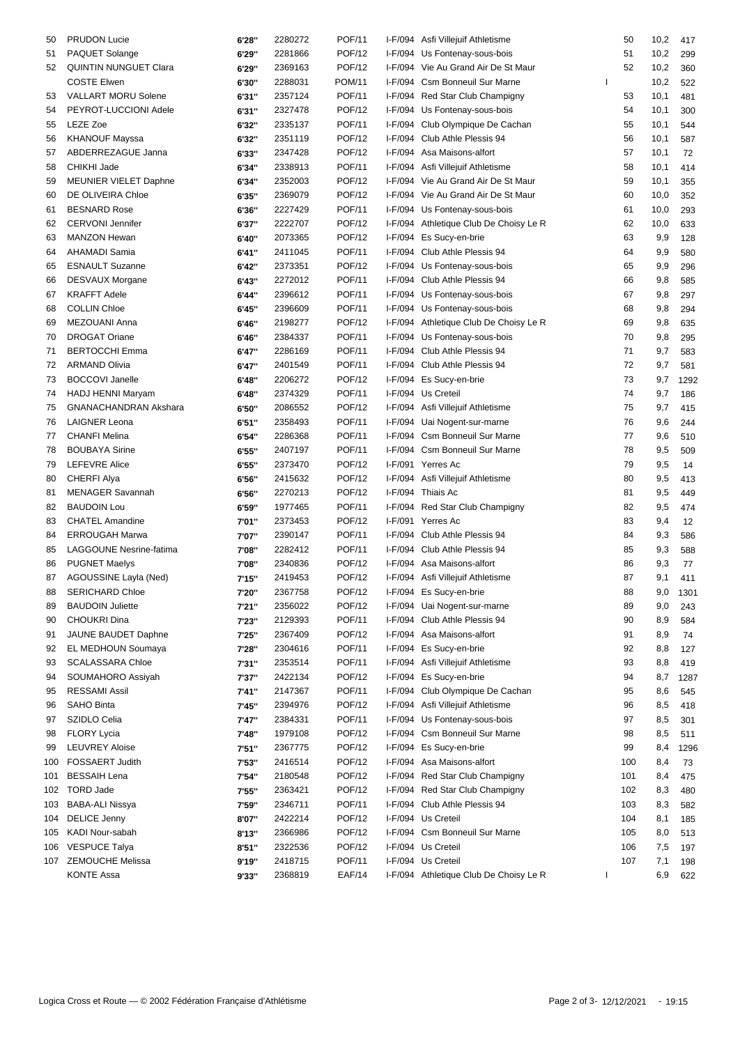| 50  | <b>PRUDON Lucie</b>            | 6'28"  | 2280272 | POF/11        |           | I-F/094 Asfi Villejuif Athletisme      | 50           | 10,2 | 417  |
|-----|--------------------------------|--------|---------|---------------|-----------|----------------------------------------|--------------|------|------|
| 51  | PAQUET Solange                 | 6'29"  | 2281866 | <b>POF/12</b> |           | I-F/094 Us Fontenay-sous-bois          | 51           | 10,2 | 299  |
| 52  | <b>QUINTIN NUNGUET Clara</b>   | 6'29"  | 2369163 | <b>POF/12</b> |           | I-F/094 Vie Au Grand Air De St Maur    | 52           | 10,2 | 360  |
|     | <b>COSTE Elwen</b>             | 6'30"  | 2288031 | <b>POM/11</b> | I-F/094   | <b>Csm Bonneuil Sur Marne</b>          |              | 10,2 | 522  |
| 53  | <b>VALLART MORU Solene</b>     | 6'31"  | 2357124 | <b>POF/11</b> | I-F/094   | Red Star Club Champigny                | 53           | 10,1 | 481  |
| 54  | PEYROT-LUCCIONI Adele          | 6'31"  | 2327478 | <b>POF/12</b> |           | I-F/094 Us Fontenay-sous-bois          | 54           | 10,1 | 300  |
| 55  | LEZE Zoe                       | 6'32"  | 2335137 | <b>POF/11</b> | I-F/094   | Club Olympique De Cachan               | 55           | 10,1 | 544  |
| 56  | <b>KHANOUF Mayssa</b>          | 6'32"  | 2351119 | <b>POF/12</b> | I-F/094   | Club Athle Plessis 94                  | 56           | 10,1 | 587  |
| 57  | ABDERREZAGUE Janna             |        | 2347428 | <b>POF/12</b> | I-F/094   | Asa Maisons-alfort                     | 57           | 10,1 | 72   |
|     | CHIKHI Jade                    | 6'33"  |         |               | $I-F/094$ |                                        | 58           |      |      |
| 58  |                                | 6'34"  | 2338913 | <b>POF/11</b> |           | Asfi Villejuif Athletisme              |              | 10,1 | 414  |
| 59  | <b>MEUNIER VIELET Daphne</b>   | 6'34"  | 2352003 | <b>POF/12</b> |           | I-F/094 Vie Au Grand Air De St Maur    | 59           | 10,1 | 355  |
| 60  | DE OLIVEIRA Chloe              | 6'35"  | 2369079 | <b>POF/12</b> | $I-F/094$ | Vie Au Grand Air De St Maur            | 60           | 10,0 | 352  |
| 61  | <b>BESNARD Rose</b>            | 6'36"  | 2227429 | <b>POF/11</b> | $I-F/094$ | Us Fontenay-sous-bois                  | 61           | 10,0 | 293  |
| 62  | <b>CERVONI Jennifer</b>        | 6'37"  | 2222707 | <b>POF/12</b> |           | I-F/094 Athletique Club De Choisy Le R | 62           | 10,0 | 633  |
| 63  | <b>MANZON Hewan</b>            | 6'40"  | 2073365 | <b>POF/12</b> | I-F/094   | Es Sucy-en-brie                        | 63           | 9,9  | 128  |
| 64  | AHAMADI Samia                  | 6'41"  | 2411045 | <b>POF/11</b> |           | I-F/094 Club Athle Plessis 94          | 64           | 9,9  | 580  |
| 65  | <b>ESNAULT Suzanne</b>         | 6'42"  | 2373351 | <b>POF/12</b> | I-F/094   | Us Fontenay-sous-bois                  | 65           | 9,9  | 296  |
| 66  | <b>DESVAUX Morgane</b>         | 6'43"  | 2272012 | <b>POF/11</b> |           | I-F/094 Club Athle Plessis 94          | 66           | 9,8  | 585  |
| 67  | <b>KRAFFT Adele</b>            | 6'44"  | 2396612 | <b>POF/11</b> |           | I-F/094 Us Fontenay-sous-bois          | 67           | 9,8  | 297  |
| 68  | <b>COLLIN Chloe</b>            | 6'45"  | 2396609 | <b>POF/11</b> |           | I-F/094 Us Fontenay-sous-bois          | 68           | 9,8  | 294  |
| 69  | MEZOUANI Anna                  | 6'46"  | 2198277 | <b>POF/12</b> |           | I-F/094 Athletique Club De Choisy Le R | 69           | 9,8  | 635  |
| 70  | <b>DROGAT Oriane</b>           | 6'46"  | 2384337 | <b>POF/11</b> |           | I-F/094 Us Fontenay-sous-bois          | 70           | 9,8  | 295  |
| 71  | <b>BERTOCCHI Emma</b>          | 6'47"  | 2286169 | <b>POF/11</b> |           | I-F/094 Club Athle Plessis 94          | 71           | 9,7  | 583  |
| 72  | <b>ARMAND Olivia</b>           |        | 2401549 | <b>POF/11</b> | I-F/094   | Club Athle Plessis 94                  | 72           | 9,7  | 581  |
|     | <b>BOCCOVI Janelle</b>         | 6'47"  | 2206272 | <b>POF/12</b> |           | I-F/094 Es Sucy-en-brie                | 73           |      |      |
| 73  |                                | 6'48"  |         |               |           |                                        |              | 9,7  | 1292 |
| 74  | HADJ HENNI Maryam              | 6'48"  | 2374329 | <b>POF/11</b> |           | I-F/094 Us Creteil                     | 74           | 9,7  | 186  |
| 75  | <b>GNANACHANDRAN Akshara</b>   | 6'50"  | 2086552 | <b>POF/12</b> |           | I-F/094 Asfi Villejuif Athletisme      | 75           | 9,7  | 415  |
| 76  | <b>LAIGNER Leona</b>           | 6'51"  | 2358493 | <b>POF/11</b> |           | I-F/094 Uai Nogent-sur-marne           | 76           | 9,6  | 244  |
| 77  | <b>CHANFI Melina</b>           | 6'54"  | 2286368 | <b>POF/11</b> | I-F/094   | <b>Csm Bonneuil Sur Marne</b>          | 77           | 9,6  | 510  |
| 78  | <b>BOUBAYA Sirine</b>          | 6'55"  | 2407197 | <b>POF/11</b> | I-F/094   | <b>Csm Bonneuil Sur Marne</b>          | 78           | 9,5  | 509  |
| 79  | <b>LEFEVRE Alice</b>           | 6'55"  | 2373470 | <b>POF/12</b> |           | I-F/091 Yerres Ac                      | 79           | 9,5  | 14   |
| 80  | <b>CHERFI Alya</b>             | 6'56"  | 2415632 | <b>POF/12</b> |           | I-F/094 Asfi Villejuif Athletisme      | 80           | 9,5  | 413  |
| 81  | <b>MENAGER Savannah</b>        | 6'56"  | 2270213 | <b>POF/12</b> |           | I-F/094 Thiais Ac                      | 81           | 9,5  | 449  |
| 82  | <b>BAUDOIN Lou</b>             | 6'59"  | 1977465 | <b>POF/11</b> | I-F/094   | Red Star Club Champigny                | 82           | 9,5  | 474  |
| 83  | <b>CHATEL Amandine</b>         | 7'01"  | 2373453 | <b>POF/12</b> |           | I-F/091 Yerres Ac                      | 83           | 9,4  | 12   |
| 84  | <b>ERROUGAH Marwa</b>          | 7'07"  | 2390147 | <b>POF/11</b> |           | I-F/094 Club Athle Plessis 94          | 84           | 9,3  | 586  |
| 85  | <b>LAGGOUNE Nesrine-fatima</b> | 7'08"  | 2282412 | <b>POF/11</b> |           | I-F/094 Club Athle Plessis 94          | 85           | 9,3  | 588  |
| 86  | <b>PUGNET Maelys</b>           | 7'08"  | 2340836 | <b>POF/12</b> |           | I-F/094 Asa Maisons-alfort             | 86           | 9,3  | 77   |
| 87  | AGOUSSINE Layla (Ned)          | 7'15"  | 2419453 | POF/12        |           | I-F/094 Asfi Villejuif Athletisme      | 87           | 9,1  | 411  |
|     | <b>SERICHARD Chloe</b>         |        | 2367758 | <b>POF/12</b> |           | I-F/094 Es Sucy-en-brie                | 88           | 9,0  |      |
| 88  |                                | 7'20"  |         |               |           |                                        |              |      | 1301 |
| 89  | <b>BAUDOIN Juliette</b>        | 7'21"  | 2356022 | POF/12        |           | I-F/094 Uai Nogent-sur-marne           | 89           | 9,0  | 243  |
| 90  | CHOUKRI Dina                   | 7'23"  | 2129393 | <b>POF/11</b> |           | I-F/094 Club Athle Plessis 94          | 90           | 8,9  | 584  |
| 91  | JAUNE BAUDET Daphne            | 7'25"  | 2367409 | <b>POF/12</b> |           | I-F/094 Asa Maisons-alfort             | 91           | 8,9  | 74   |
| 92  | EL MEDHOUN Soumaya             | 7'28"  | 2304616 | <b>POF/11</b> | I-F/094   | Es Sucy-en-brie                        | 92           | 8,8  | 127  |
| 93  | <b>SCALASSARA Chloe</b>        | 7'31"  | 2353514 | <b>POF/11</b> |           | I-F/094 Asfi Villejuif Athletisme      | 93           | 8,8  | 419  |
| 94  | SOUMAHORO Assiyah              | 7'37"  | 2422134 | <b>POF/12</b> |           | I-F/094 Es Sucy-en-brie                | 94           | 8,7  | 1287 |
| 95  | <b>RESSAMI Assil</b>           | 7'41"  | 2147367 | <b>POF/11</b> |           | I-F/094 Club Olympique De Cachan       | 95           | 8,6  | 545  |
| 96  | <b>SAHO Binta</b>              | 7'45"  | 2394976 | <b>POF/12</b> |           | I-F/094 Asfi Villejuif Athletisme      | 96           | 8,5  | 418  |
| 97  | SZIDLO Celia                   | 7'47"  | 2384331 | <b>POF/11</b> |           | I-F/094 Us Fontenay-sous-bois          | 97           | 8,5  | 301  |
| 98  | <b>FLORY Lycia</b>             | 7'48"  | 1979108 | <b>POF/12</b> |           | I-F/094 Csm Bonneuil Sur Marne         | 98           | 8,5  | 511  |
| 99  | <b>LEUVREY Aloise</b>          | 7'51"  | 2367775 | <b>POF/12</b> |           | I-F/094 Es Sucy-en-brie                | 99           | 8,4  | 1296 |
| 100 | FOSSAERT Judith                | 7'53"  | 2416514 | <b>POF/12</b> |           | I-F/094 Asa Maisons-alfort             | 100          | 8,4  | 73   |
| 101 | <b>BESSAIH Lena</b>            | 7'54"  | 2180548 | <b>POF/12</b> | I-F/094   | Red Star Club Champigny                | 101          | 8,4  | 475  |
|     | 102 TORD Jade                  | 7'55"  | 2363421 | <b>POF/12</b> |           | I-F/094 Red Star Club Champigny        | 102          | 8,3  | 480  |
| 103 | <b>BABA-ALI Nissya</b>         | 7'59"  | 2346711 | <b>POF/11</b> |           | I-F/094 Club Athle Plessis 94          | 103          | 8,3  | 582  |
| 104 | <b>DELICE Jenny</b>            | 8'07"  | 2422214 | <b>POF/12</b> |           | I-F/094 Us Creteil                     | 104          |      | 185  |
|     | KADI Nour-sabah                |        |         | <b>POF/12</b> |           | I-F/094 Csm Bonneuil Sur Marne         |              | 8,1  |      |
| 105 |                                | 8'13'' | 2366986 |               |           |                                        | 105          | 8,0  | 513  |
| 106 | <b>VESPUCE Talya</b>           | 8'51'' | 2322536 | POF/12        |           | I-F/094 Us Creteil                     | 106          | 7,5  | 197  |
|     | 107 ZEMOUCHE Melissa           | 9'19"  | 2418715 | POF/11        |           | I-F/094 Us Creteil                     | 107          | 7,1  | 198  |
|     | <b>KONTE Assa</b>              | 9'33"  | 2368819 | <b>EAF/14</b> |           | I-F/094 Athletique Club De Choisy Le R | $\mathbf{I}$ | 6,9  | 622  |